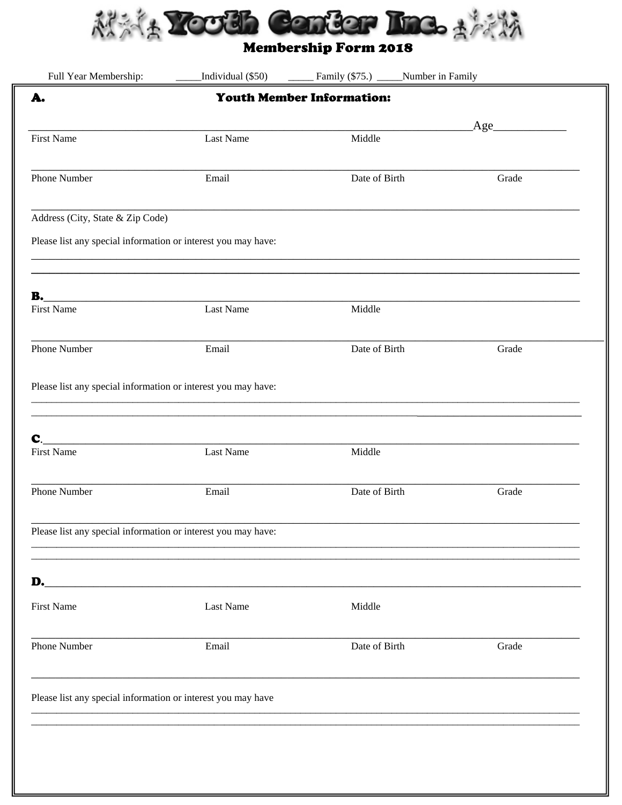

| Full Year Membership:                                         | Individual (\$50) | Family (\$75.) ______Number in Family |  |       |  |
|---------------------------------------------------------------|-------------------|---------------------------------------|--|-------|--|
| A.                                                            |                   | <b>Youth Member Information:</b>      |  |       |  |
|                                                               |                   |                                       |  | Age   |  |
| <b>First Name</b>                                             | Last Name         | Middle                                |  |       |  |
| Phone Number                                                  | Email             | Date of Birth                         |  | Grade |  |
| Address (City, State & Zip Code)                              |                   |                                       |  |       |  |
| Please list any special information or interest you may have: |                   |                                       |  |       |  |
| <b>B.</b>                                                     |                   |                                       |  |       |  |
| <b>First Name</b>                                             | Last Name         | Middle                                |  |       |  |
| Phone Number                                                  | Email             | Date of Birth                         |  | Grade |  |
| Please list any special information or interest you may have: |                   |                                       |  |       |  |
|                                                               |                   |                                       |  |       |  |
| C.<br><b>First Name</b>                                       | Last Name         | Middle                                |  |       |  |
| Phone Number                                                  | Email             | Date of Birth                         |  | Grade |  |
| Please list any special information or interest you may have: |                   |                                       |  |       |  |
|                                                               |                   |                                       |  |       |  |
| <b>First Name</b>                                             | Last Name         | Middle                                |  |       |  |
| <b>Phone Number</b>                                           | Email             | Date of Birth                         |  | Grade |  |
| Please list any special information or interest you may have  |                   |                                       |  |       |  |
|                                                               |                   |                                       |  |       |  |
|                                                               |                   |                                       |  |       |  |
|                                                               |                   |                                       |  |       |  |